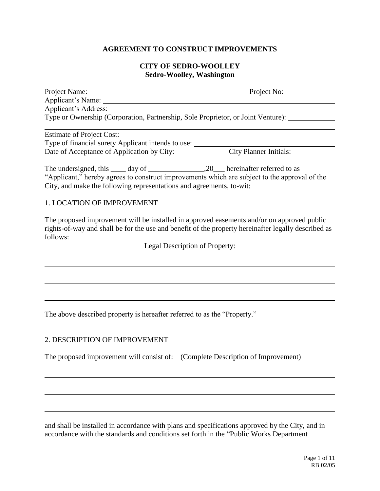### **AGREEMENT TO CONSTRUCT IMPROVEMENTS**

#### **CITY OF SEDRO-WOOLLEY Sedro-Woolley, Washington**

|                                                                                               | Project No:            |
|-----------------------------------------------------------------------------------------------|------------------------|
| Applicant's Name:                                                                             |                        |
| Applicant's Address:                                                                          |                        |
| Type or Ownership (Corporation, Partnership, Sole Proprietor, or Joint Venture):              |                        |
|                                                                                               |                        |
| Estimate of Project Cost:                                                                     |                        |
| Type of financial surety Applicant intends to use:                                            |                        |
| Date of Acceptance of Application by City:                                                    | City Planner Initials: |
|                                                                                               |                        |
| "Applicant," hereby agrees to construct improvements which are subject to the approval of the |                        |
| City, and make the following representations and agreements, to-wit:                          |                        |
|                                                                                               |                        |

### 1. LOCATION OF IMPROVEMENT

The proposed improvement will be installed in approved easements and/or on approved public rights-of-way and shall be for the use and benefit of the property hereinafter legally described as follows:

Legal Description of Property:

The above described property is hereafter referred to as the "Property."

#### 2. DESCRIPTION OF IMPROVEMENT

The proposed improvement will consist of: (Complete Description of Improvement)

and shall be installed in accordance with plans and specifications approved by the City, and in accordance with the standards and conditions set forth in the "Public Works Department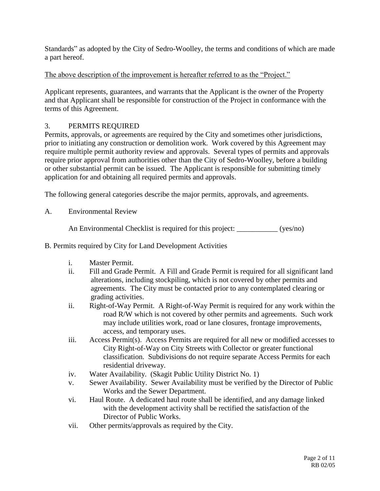Standards" as adopted by the City of Sedro-Woolley, the terms and conditions of which are made a part hereof.

## The above description of the improvement is hereafter referred to as the "Project."

Applicant represents, guarantees, and warrants that the Applicant is the owner of the Property and that Applicant shall be responsible for construction of the Project in conformance with the terms of this Agreement.

## 3. PERMITS REQUIRED

Permits, approvals, or agreements are required by the City and sometimes other jurisdictions, prior to initiating any construction or demolition work. Work covered by this Agreement may require multiple permit authority review and approvals. Several types of permits and approvals require prior approval from authorities other than the City of Sedro-Woolley, before a building or other substantial permit can be issued. The Applicant is responsible for submitting timely application for and obtaining all required permits and approvals.

The following general categories describe the major permits, approvals, and agreements.

A. Environmental Review

An Environmental Checklist is required for this project: \_\_\_\_\_\_\_\_\_\_\_ (yes/no)

- B. Permits required by City for Land Development Activities
	- i. Master Permit.
	- ii. Fill and Grade Permit. A Fill and Grade Permit is required for all significant land alterations, including stockpiling, which is not covered by other permits and agreements. The City must be contacted prior to any contemplated clearing or grading activities.
	- ii. Right-of-Way Permit. A Right-of-Way Permit is required for any work within the road R/W which is not covered by other permits and agreements. Such work may include utilities work, road or lane closures, frontage improvements, access, and temporary uses.
	- iii. Access Permit(s). Access Permits are required for all new or modified accesses to City Right-of-Way on City Streets with Collector or greater functional classification. Subdivisions do not require separate Access Permits for each residential driveway.
	- iv. Water Availability. (Skagit Public Utility District No. 1)
	- v. Sewer Availability. Sewer Availability must be verified by the Director of Public Works and the Sewer Department.
	- vi. Haul Route. A dedicated haul route shall be identified, and any damage linked with the development activity shall be rectified the satisfaction of the Director of Public Works.
	- vii. Other permits/approvals as required by the City.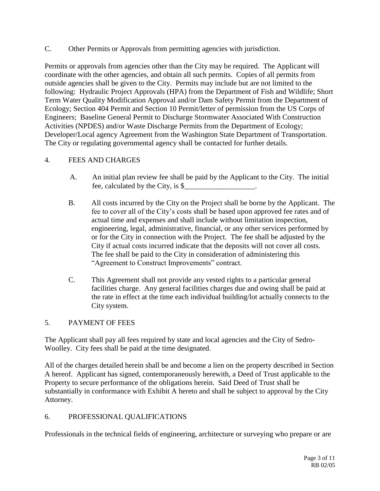C. Other Permits or Approvals from permitting agencies with jurisdiction.

Permits or approvals from agencies other than the City may be required. The Applicant will coordinate with the other agencies, and obtain all such permits. Copies of all permits from outside agencies shall be given to the City. Permits may include but are not limited to the following: Hydraulic Project Approvals (HPA) from the Department of Fish and Wildlife; Short Term Water Quality Modification Approval and/or Dam Safety Permit from the Department of Ecology; Section 404 Permit and Section 10 Permit/letter of permission from the US Corps of Engineers; Baseline General Permit to Discharge Stormwater Associated With Construction Activities (NPDES) and/or Waste Discharge Permits from the Department of Ecology; Developer/Local agency Agreement from the Washington State Department of Transportation. The City or regulating governmental agency shall be contacted for further details.

### 4. FEES AND CHARGES

- A. An initial plan review fee shall be paid by the Applicant to the City. The initial fee, calculated by the City, is \$\_\_\_\_\_\_\_\_\_\_\_\_\_\_\_\_\_\_\_.
- B. All costs incurred by the City on the Project shall be borne by the Applicant. The fee to cover all of the City's costs shall be based upon approved fee rates and of actual time and expenses and shall include without limitation inspection, engineering, legal, administrative, financial, or any other services performed by or for the City in connection with the Project. The fee shall be adjusted by the City if actual costs incurred indicate that the deposits will not cover all costs. The fee shall be paid to the City in consideration of administering this "Agreement to Construct Improvements" contract.
- C. This Agreement shall not provide any vested rights to a particular general facilities charge. Any general facilities charges due and owing shall be paid at the rate in effect at the time each individual building/lot actually connects to the City system.

### 5. PAYMENT OF FEES

The Applicant shall pay all fees required by state and local agencies and the City of Sedro-Woolley. City fees shall be paid at the time designated.

All of the charges detailed herein shall be and become a lien on the property described in Section A hereof. Applicant has signed, contemporaneously herewith, a Deed of Trust applicable to the Property to secure performance of the obligations herein. Said Deed of Trust shall be substantially in conformance with Exhibit A hereto and shall be subject to approval by the City Attorney.

### 6. PROFESSIONAL QUALIFICATIONS

Professionals in the technical fields of engineering, architecture or surveying who prepare or are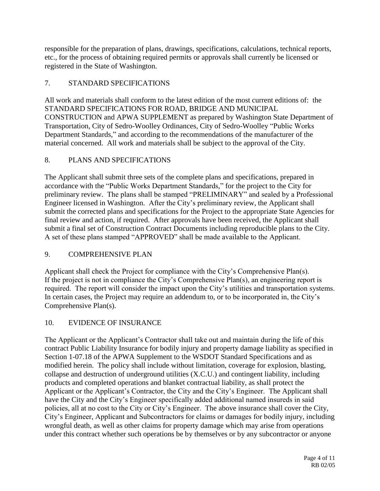responsible for the preparation of plans, drawings, specifications, calculations, technical reports, etc., for the process of obtaining required permits or approvals shall currently be licensed or registered in the State of Washington.

# 7. STANDARD SPECIFICATIONS

All work and materials shall conform to the latest edition of the most current editions of: the STANDARD SPECIFICATIONS FOR ROAD, BRIDGE AND MUNICIPAL CONSTRUCTION and APWA SUPPLEMENT as prepared by Washington State Department of Transportation, City of Sedro-Woolley Ordinances, City of Sedro-Woolley "Public Works Department Standards," and according to the recommendations of the manufacturer of the material concerned. All work and materials shall be subject to the approval of the City.

# 8. PLANS AND SPECIFICATIONS

The Applicant shall submit three sets of the complete plans and specifications, prepared in accordance with the "Public Works Department Standards," for the project to the City for preliminary review. The plans shall be stamped "PRELIMINARY" and sealed by a Professional Engineer licensed in Washington. After the City's preliminary review, the Applicant shall submit the corrected plans and specifications for the Project to the appropriate State Agencies for final review and action, if required. After approvals have been received, the Applicant shall submit a final set of Construction Contract Documents including reproducible plans to the City. A set of these plans stamped "APPROVED" shall be made available to the Applicant.

## 9. COMPREHENSIVE PLAN

Applicant shall check the Project for compliance with the City's Comprehensive Plan(s). If the project is not in compliance the City's Comprehensive Plan(s), an engineering report is required. The report will consider the impact upon the City's utilities and transportation systems. In certain cases, the Project may require an addendum to, or to be incorporated in, the City's Comprehensive Plan(s).

## 10. EVIDENCE OF INSURANCE

The Applicant or the Applicant's Contractor shall take out and maintain during the life of this contract Public Liability Insurance for bodily injury and property damage liability as specified in Section 1-07.18 of the APWA Supplement to the WSDOT Standard Specifications and as modified herein. The policy shall include without limitation, coverage for explosion, blasting, collapse and destruction of underground utilities (X.C.U.) and contingent liability, including products and completed operations and blanket contractual liability, as shall protect the Applicant or the Applicant's Contractor, the City and the City's Engineer. The Applicant shall have the City and the City's Engineer specifically added additional named insureds in said policies, all at no cost to the City or City's Engineer. The above insurance shall cover the City, City's Engineer, Applicant and Subcontractors for claims or damages for bodily injury, including wrongful death, as well as other claims for property damage which may arise from operations under this contract whether such operations be by themselves or by any subcontractor or anyone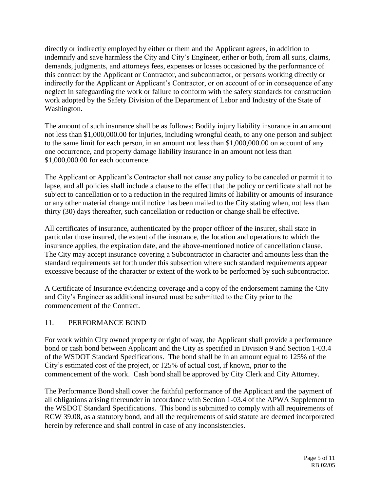directly or indirectly employed by either or them and the Applicant agrees, in addition to indemnify and save harmless the City and City's Engineer, either or both, from all suits, claims, demands, judgments, and attorneys fees, expenses or losses occasioned by the performance of this contract by the Applicant or Contractor, and subcontractor, or persons working directly or indirectly for the Applicant or Applicant's Contractor, or on account of or in consequence of any neglect in safeguarding the work or failure to conform with the safety standards for construction work adopted by the Safety Division of the Department of Labor and Industry of the State of Washington.

The amount of such insurance shall be as follows: Bodily injury liability insurance in an amount not less than \$1,000,000.00 for injuries, including wrongful death, to any one person and subject to the same limit for each person, in an amount not less than \$1,000,000.00 on account of any one occurrence, and property damage liability insurance in an amount not less than \$1,000,000.00 for each occurrence.

The Applicant or Applicant's Contractor shall not cause any policy to be canceled or permit it to lapse, and all policies shall include a clause to the effect that the policy or certificate shall not be subject to cancellation or to a reduction in the required limits of liability or amounts of insurance or any other material change until notice has been mailed to the City stating when, not less than thirty (30) days thereafter, such cancellation or reduction or change shall be effective.

All certificates of insurance, authenticated by the proper officer of the insurer, shall state in particular those insured, the extent of the insurance, the location and operations to which the insurance applies, the expiration date, and the above-mentioned notice of cancellation clause. The City may accept insurance covering a Subcontractor in character and amounts less than the standard requirements set forth under this subsection where such standard requirements appear excessive because of the character or extent of the work to be performed by such subcontractor.

A Certificate of Insurance evidencing coverage and a copy of the endorsement naming the City and City's Engineer as additional insured must be submitted to the City prior to the commencement of the Contract.

### 11. PERFORMANCE BOND

For work within City owned property or right of way, the Applicant shall provide a performance bond or cash bond between Applicant and the City as specified in Division 9 and Section 1-03.4 of the WSDOT Standard Specifications. The bond shall be in an amount equal to 125% of the City's estimated cost of the project, or 125% of actual cost, if known, prior to the commencement of the work. Cash bond shall be approved by City Clerk and City Attorney.

The Performance Bond shall cover the faithful performance of the Applicant and the payment of all obligations arising thereunder in accordance with Section 1-03.4 of the APWA Supplement to the WSDOT Standard Specifications. This bond is submitted to comply with all requirements of RCW 39.08, as a statutory bond, and all the requirements of said statute are deemed incorporated herein by reference and shall control in case of any inconsistencies.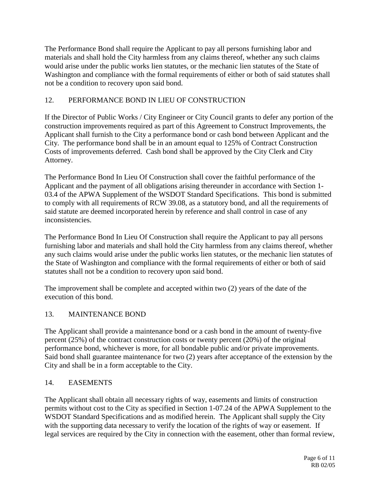The Performance Bond shall require the Applicant to pay all persons furnishing labor and materials and shall hold the City harmless from any claims thereof, whether any such claims would arise under the public works lien statutes, or the mechanic lien statutes of the State of Washington and compliance with the formal requirements of either or both of said statutes shall not be a condition to recovery upon said bond.

# 12. PERFORMANCE BOND IN LIEU OF CONSTRUCTION

If the Director of Public Works / City Engineer or City Council grants to defer any portion of the construction improvements required as part of this Agreement to Construct Improvements, the Applicant shall furnish to the City a performance bond or cash bond between Applicant and the City. The performance bond shall be in an amount equal to 125% of Contract Construction Costs of improvements deferred. Cash bond shall be approved by the City Clerk and City Attorney.

The Performance Bond In Lieu Of Construction shall cover the faithful performance of the Applicant and the payment of all obligations arising thereunder in accordance with Section 1- 03.4 of the APWA Supplement of the WSDOT Standard Specifications. This bond is submitted to comply with all requirements of RCW 39.08, as a statutory bond, and all the requirements of said statute are deemed incorporated herein by reference and shall control in case of any inconsistencies.

The Performance Bond In Lieu Of Construction shall require the Applicant to pay all persons furnishing labor and materials and shall hold the City harmless from any claims thereof, whether any such claims would arise under the public works lien statutes, or the mechanic lien statutes of the State of Washington and compliance with the formal requirements of either or both of said statutes shall not be a condition to recovery upon said bond.

The improvement shall be complete and accepted within two (2) years of the date of the execution of this bond.

## 13. MAINTENANCE BOND

The Applicant shall provide a maintenance bond or a cash bond in the amount of twenty-five percent (25%) of the contract construction costs or twenty percent (20%) of the original performance bond, whichever is more, for all bondable public and/or private improvements. Said bond shall guarantee maintenance for two (2) years after acceptance of the extension by the City and shall be in a form acceptable to the City.

## 14. EASEMENTS

The Applicant shall obtain all necessary rights of way, easements and limits of construction permits without cost to the City as specified in Section 1-07.24 of the APWA Supplement to the WSDOT Standard Specifications and as modified herein. The Applicant shall supply the City with the supporting data necessary to verify the location of the rights of way or easement. If legal services are required by the City in connection with the easement, other than formal review,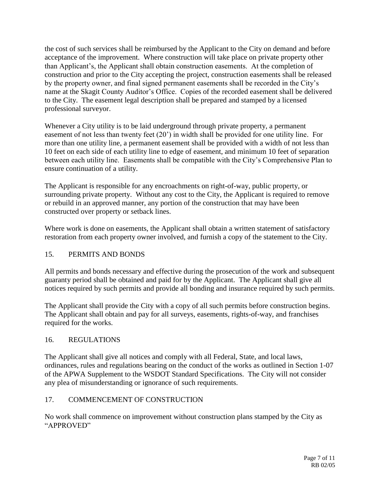the cost of such services shall be reimbursed by the Applicant to the City on demand and before acceptance of the improvement. Where construction will take place on private property other than Applicant's, the Applicant shall obtain construction easements. At the completion of construction and prior to the City accepting the project, construction easements shall be released by the property owner, and final signed permanent easements shall be recorded in the City's name at the Skagit County Auditor's Office. Copies of the recorded easement shall be delivered to the City. The easement legal description shall be prepared and stamped by a licensed professional surveyor.

Whenever a City utility is to be laid underground through private property, a permanent easement of not less than twenty feet (20') in width shall be provided for one utility line. For more than one utility line, a permanent easement shall be provided with a width of not less than 10 feet on each side of each utility line to edge of easement, and minimum 10 feet of separation between each utility line. Easements shall be compatible with the City's Comprehensive Plan to ensure continuation of a utility.

The Applicant is responsible for any encroachments on right-of-way, public property, or surrounding private property. Without any cost to the City, the Applicant is required to remove or rebuild in an approved manner, any portion of the construction that may have been constructed over property or setback lines.

Where work is done on easements, the Applicant shall obtain a written statement of satisfactory restoration from each property owner involved, and furnish a copy of the statement to the City.

## 15. PERMITS AND BONDS

All permits and bonds necessary and effective during the prosecution of the work and subsequent guaranty period shall be obtained and paid for by the Applicant. The Applicant shall give all notices required by such permits and provide all bonding and insurance required by such permits.

The Applicant shall provide the City with a copy of all such permits before construction begins. The Applicant shall obtain and pay for all surveys, easements, rights-of-way, and franchises required for the works.

### 16. REGULATIONS

The Applicant shall give all notices and comply with all Federal, State, and local laws, ordinances, rules and regulations bearing on the conduct of the works as outlined in Section 1-07 of the APWA Supplement to the WSDOT Standard Specifications. The City will not consider any plea of misunderstanding or ignorance of such requirements.

### 17. COMMENCEMENT OF CONSTRUCTION

No work shall commence on improvement without construction plans stamped by the City as "APPROVED"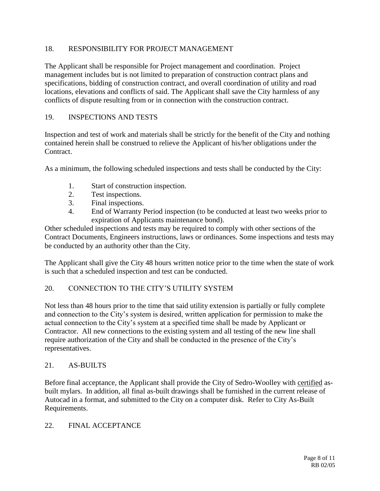### 18. RESPONSIBILITY FOR PROJECT MANAGEMENT

The Applicant shall be responsible for Project management and coordination. Project management includes but is not limited to preparation of construction contract plans and specifications, bidding of construction contract, and overall coordination of utility and road locations, elevations and conflicts of said. The Applicant shall save the City harmless of any conflicts of dispute resulting from or in connection with the construction contract.

#### 19. INSPECTIONS AND TESTS

Inspection and test of work and materials shall be strictly for the benefit of the City and nothing contained herein shall be construed to relieve the Applicant of his/her obligations under the Contract.

As a minimum, the following scheduled inspections and tests shall be conducted by the City:

- 1. Start of construction inspection.
- 2. Test inspections.
- 3. Final inspections.
- 4. End of Warranty Period inspection (to be conducted at least two weeks prior to expiration of Applicants maintenance bond).

Other scheduled inspections and tests may be required to comply with other sections of the Contract Documents, Engineers instructions, laws or ordinances. Some inspections and tests may be conducted by an authority other than the City.

The Applicant shall give the City 48 hours written notice prior to the time when the state of work is such that a scheduled inspection and test can be conducted.

### 20. CONNECTION TO THE CITY'S UTILITY SYSTEM

Not less than 48 hours prior to the time that said utility extension is partially or fully complete and connection to the City's system is desired, written application for permission to make the actual connection to the City's system at a specified time shall be made by Applicant or Contractor. All new connections to the existing system and all testing of the new line shall require authorization of the City and shall be conducted in the presence of the City's representatives.

#### 21. AS-BUILTS

Before final acceptance, the Applicant shall provide the City of Sedro-Woolley with certified asbuilt mylars. In addition, all final as-built drawings shall be furnished in the current release of Autocad in a format, and submitted to the City on a computer disk. Refer to City As-Built Requirements.

#### 22. FINAL ACCEPTANCE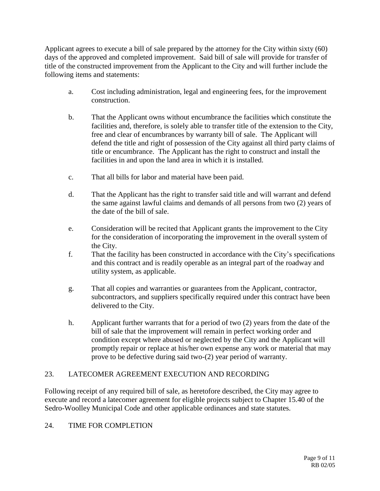Applicant agrees to execute a bill of sale prepared by the attorney for the City within sixty (60) days of the approved and completed improvement. Said bill of sale will provide for transfer of title of the constructed improvement from the Applicant to the City and will further include the following items and statements:

- a. Cost including administration, legal and engineering fees, for the improvement construction.
- b. That the Applicant owns without encumbrance the facilities which constitute the facilities and, therefore, is solely able to transfer title of the extension to the City, free and clear of encumbrances by warranty bill of sale. The Applicant will defend the title and right of possession of the City against all third party claims of title or encumbrance. The Applicant has the right to construct and install the facilities in and upon the land area in which it is installed.
- c. That all bills for labor and material have been paid.
- d. That the Applicant has the right to transfer said title and will warrant and defend the same against lawful claims and demands of all persons from two (2) years of the date of the bill of sale.
- e. Consideration will be recited that Applicant grants the improvement to the City for the consideration of incorporating the improvement in the overall system of the City.
- f. That the facility has been constructed in accordance with the City's specifications and this contract and is readily operable as an integral part of the roadway and utility system, as applicable.
- g. That all copies and warranties or guarantees from the Applicant, contractor, subcontractors, and suppliers specifically required under this contract have been delivered to the City.
- h. Applicant further warrants that for a period of two (2) years from the date of the bill of sale that the improvement will remain in perfect working order and condition except where abused or neglected by the City and the Applicant will promptly repair or replace at his/her own expense any work or material that may prove to be defective during said two-(2) year period of warranty.

## 23. LATECOMER AGREEMENT EXECUTION AND RECORDING

Following receipt of any required bill of sale, as heretofore described, the City may agree to execute and record a latecomer agreement for eligible projects subject to Chapter 15.40 of the Sedro-Woolley Municipal Code and other applicable ordinances and state statutes.

## 24. TIME FOR COMPLETION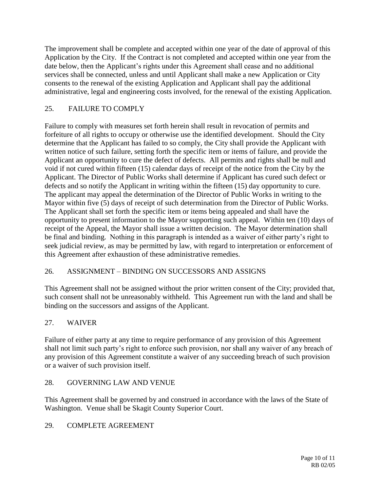The improvement shall be complete and accepted within one year of the date of approval of this Application by the City. If the Contract is not completed and accepted within one year from the date below, then the Applicant's rights under this Agreement shall cease and no additional services shall be connected, unless and until Applicant shall make a new Application or City consents to the renewal of the existing Application and Applicant shall pay the additional administrative, legal and engineering costs involved, for the renewal of the existing Application.

## 25. FAILURE TO COMPLY

Failure to comply with measures set forth herein shall result in revocation of permits and forfeiture of all rights to occupy or otherwise use the identified development. Should the City determine that the Applicant has failed to so comply, the City shall provide the Applicant with written notice of such failure, setting forth the specific item or items of failure, and provide the Applicant an opportunity to cure the defect of defects. All permits and rights shall be null and void if not cured within fifteen (15) calendar days of receipt of the notice from the City by the Applicant. The Director of Public Works shall determine if Applicant has cured such defect or defects and so notify the Applicant in writing within the fifteen (15) day opportunity to cure. The applicant may appeal the determination of the Director of Public Works in writing to the Mayor within five (5) days of receipt of such determination from the Director of Public Works. The Applicant shall set forth the specific item or items being appealed and shall have the opportunity to present information to the Mayor supporting such appeal. Within ten (10) days of receipt of the Appeal, the Mayor shall issue a written decision. The Mayor determination shall be final and binding. Nothing in this paragraph is intended as a waiver of either party's right to seek judicial review, as may be permitted by law, with regard to interpretation or enforcement of this Agreement after exhaustion of these administrative remedies.

## 26. ASSIGNMENT – BINDING ON SUCCESSORS AND ASSIGNS

This Agreement shall not be assigned without the prior written consent of the City; provided that, such consent shall not be unreasonably withheld. This Agreement run with the land and shall be binding on the successors and assigns of the Applicant.

## 27. WAIVER

Failure of either party at any time to require performance of any provision of this Agreement shall not limit such party's right to enforce such provision, nor shall any waiver of any breach of any provision of this Agreement constitute a waiver of any succeeding breach of such provision or a waiver of such provision itself.

## 28. GOVERNING LAW AND VENUE

This Agreement shall be governed by and construed in accordance with the laws of the State of Washington. Venue shall be Skagit County Superior Court.

## 29. COMPLETE AGREEMENT